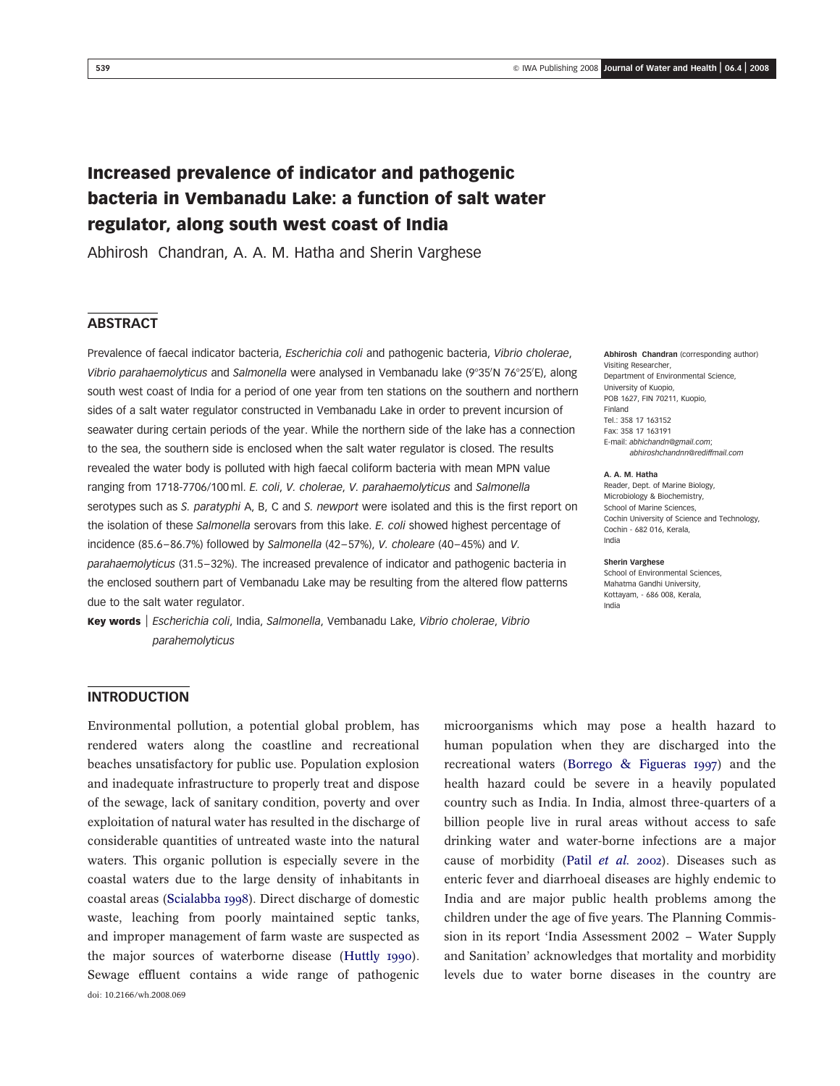# Increased prevalence of indicator and pathogenic bacteria in Vembanadu Lake: a function of salt water regulator, along south west coast of India

Abhirosh Chandran, A. A. M. Hatha and Sherin Varghese

# **ABSTRACT**

Prevalence of faecal indicator bacteria, Escherichia coli and pathogenic bacteria, Vibrio cholerae, Vibrio parahaemolyticus and Salmonella were analysed in Vembanadu lake (9°35/N 76°25/E), along south west coast of India for a period of one year from ten stations on the southern and northern sides of a salt water regulator constructed in Vembanadu Lake in order to prevent incursion of seawater during certain periods of the year. While the northern side of the lake has a connection to the sea, the southern side is enclosed when the salt water regulator is closed. The results revealed the water body is polluted with high faecal coliform bacteria with mean MPN value ranging from 1718-7706/100 ml. E. coli, V. cholerae, V. parahaemolyticus and Salmonella serotypes such as S. paratyphi A, B, C and S. newport were isolated and this is the first report on the isolation of these Salmonella serovars from this lake. E. coli showed highest percentage of incidence (85.6–86.7%) followed by Salmonella (42–57%), V. choleare (40–45%) and V. parahaemolyticus (31.5–32%). The increased prevalence of indicator and pathogenic bacteria in the enclosed southern part of Vembanadu Lake may be resulting from the altered flow patterns due to the salt water regulator.

Key words | Escherichia coli, India, Salmonella, Vembanadu Lake, Vibrio cholerae, Vibrio parahemolyticus

Abhirosh Chandran (corresponding author) Visiting Researcher, Department of Environmental Science, University of Kuopio, POB 1627, FIN 70211, Kuopio, Finland Tel.: 358 17 163152 Fax: 358 17 163191 E-mail: abhichandn@gmail.com; abhiroshchandnn@rediffmail.com

#### A. A. M. Hatha

Reader, Dept. of Marine Biology, Microbiology & Biochemistry, School of Marine Sciences, Cochin University of Science and Technology, Cochin - 682 016, Kerala, India

Sherin Varghese School of Environmental Sciences,

Mahatma Gandhi University, Kottayam, - 686 008, Kerala, India

### INTRODUCTION

Environmental pollution, a potential global problem, has rendered waters along the coastline and recreational beaches unsatisfactory for public use. Population explosion and inadequate infrastructure to properly treat and dispose of the sewage, lack of sanitary condition, poverty and over exploitation of natural water has resulted in the discharge of considerable quantities of untreated waste into the natural waters. This organic pollution is especially severe in the coastal waters due to the large density of inhabitants in coastal areas ([Scialabba 1998](#page-7-0)). Direct discharge of domestic waste, leaching from poorly maintained septic tanks, and improper management of farm waste are suspected as the major sources of waterborne disease ([Huttly 1990](#page-6-0)). Sewage effluent contains a wide range of pathogenic doi: 10.2166/wh.2008.069

microorganisms which may pose a health hazard to human population when they are discharged into the recreational waters ([Borrego & Figueras 1997](#page-6-0)) and the health hazard could be severe in a heavily populated country such as India. In India, almost three-quarters of a billion people live in rural areas without access to safe drinking water and water-borne infections are a major cause of morbidity (Patil [et al.](#page-7-0) 2002). Diseases such as enteric fever and diarrhoeal diseases are highly endemic to India and are major public health problems among the children under the age of five years. The Planning Commission in its report 'India Assessment 2002 – Water Supply and Sanitation' acknowledges that mortality and morbidity levels due to water borne diseases in the country are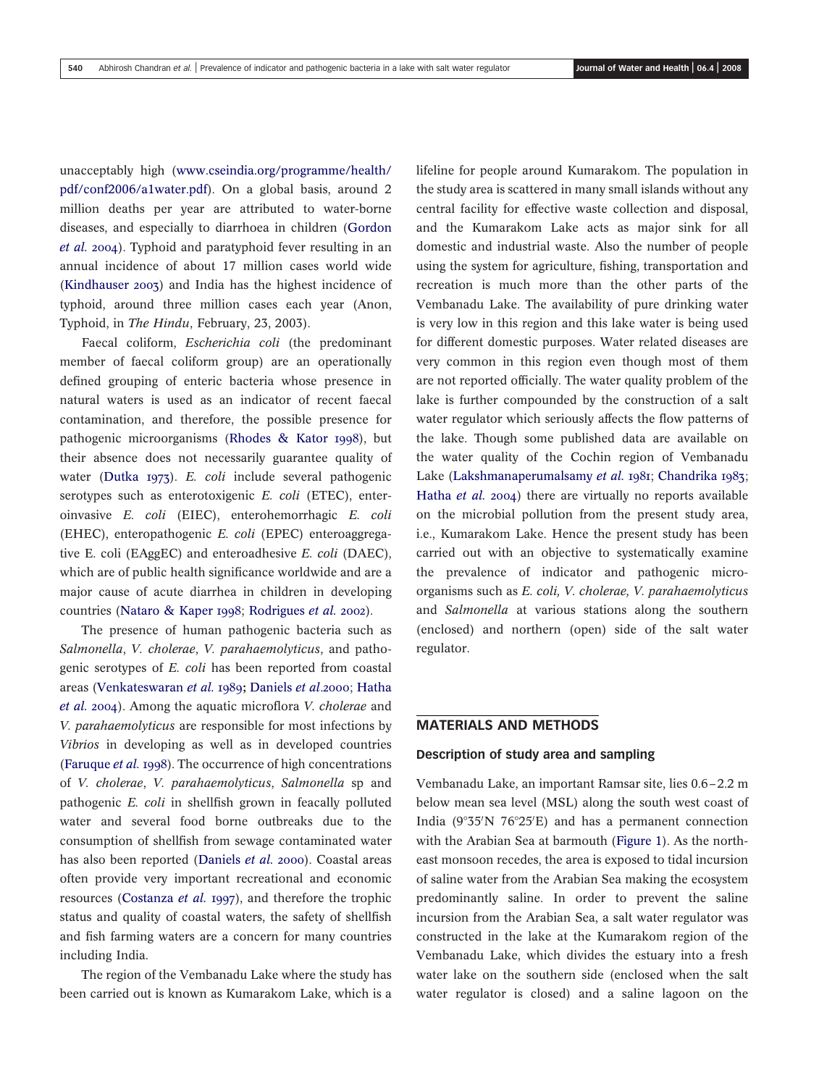unacceptably high ([www.cseindia.org/programme/health/](http://www.cseindia.org/programme/health/pdf/conf2006/a1water.pdf) [pdf/conf2006/a1water.pdf](http://www.cseindia.org/programme/health/pdf/conf2006/a1water.pdf)). On a global basis, around 2 million deaths per year are attributed to water-borne diseases, and especially to diarrhoea in children ([Gordon](#page-6-0) [et al.](#page-6-0) 2004). Typhoid and paratyphoid fever resulting in an annual incidence of about 17 million cases world wide ([Kindhauser 2003](#page-6-0)) and India has the highest incidence of typhoid, around three million cases each year (Anon, Typhoid, in The Hindu, February, 23, 2003).

Faecal coliform, Escherichia coli (the predominant member of faecal coliform group) are an operationally defined grouping of enteric bacteria whose presence in natural waters is used as an indicator of recent faecal contamination, and therefore, the possible presence for pathogenic microorganisms ([Rhodes & Kator 1998](#page-7-0)), but their absence does not necessarily guarantee quality of water ([Dutka 1973](#page-6-0)). E. coli include several pathogenic serotypes such as enterotoxigenic E. coli (ETEC), enteroinvasive E. coli (EIEC), enterohemorrhagic E. coli (EHEC), enteropathogenic E. coli (EPEC) enteroaggregative E. coli (EAggEC) and enteroadhesive E. coli (DAEC), which are of public health significance worldwide and are a major cause of acute diarrhea in children in developing countries ([Nataro & Kaper 1998](#page-7-0); [Rodrigues](#page-7-0) et al. 2002).

The presence of human pathogenic bacteria such as Salmonella, V. cholerae, V. parahaemolyticus, and pathogenic serotypes of E. coli has been reported from coastal areas ([Venkateswaran](#page-7-0) et al. 1989; [Daniels](#page-6-0) et al.2000; [Hatha](#page-6-0) [et al.](#page-6-0) 2004). Among the aquatic microflora V. cholerae and V. parahaemolyticus are responsible for most infections by Vibrios in developing as well as in developed countries ([Faruque](#page-6-0) et al. 1998). The occurrence of high concentrations of V. cholerae, V. parahaemolyticus, Salmonella sp and pathogenic E. coli in shellfish grown in feacally polluted water and several food borne outbreaks due to the consumption of shellfish from sewage contaminated water has also been reported ([Daniels](#page-6-0) et al. 2000). Coastal areas often provide very important recreational and economic resources ([Costanza](#page-6-0) et al. 1997), and therefore the trophic status and quality of coastal waters, the safety of shellfish and fish farming waters are a concern for many countries including India.

The region of the Vembanadu Lake where the study has been carried out is known as Kumarakom Lake, which is a

lifeline for people around Kumarakom. The population in the study area is scattered in many small islands without any central facility for effective waste collection and disposal, and the Kumarakom Lake acts as major sink for all domestic and industrial waste. Also the number of people using the system for agriculture, fishing, transportation and recreation is much more than the other parts of the Vembanadu Lake. The availability of pure drinking water is very low in this region and this lake water is being used for different domestic purposes. Water related diseases are very common in this region even though most of them are not reported officially. The water quality problem of the lake is further compounded by the construction of a salt water regulator which seriously affects the flow patterns of the lake. Though some published data are available on the water quality of the Cochin region of Vembanadu Lake ([Lakshmanaperumalsamy](#page-6-0) et al. 1981; [Chandrika 1983](#page-6-0); [Hatha](#page-6-0) *et al.* 2004) there are virtually no reports available on the microbial pollution from the present study area, i.e., Kumarakom Lake. Hence the present study has been carried out with an objective to systematically examine the prevalence of indicator and pathogenic microorganisms such as E. coli, V. cholerae, V. parahaemolyticus and Salmonella at various stations along the southern (enclosed) and northern (open) side of the salt water regulator.

### MATERIALS AND METHODS

#### Description of study area and sampling

Vembanadu Lake, an important Ramsar site, lies 0.6–2.2 m below mean sea level (MSL) along the south west coast of India ( $9^{\circ}35'N$   $76^{\circ}25'E$ ) and has a permanent connection with the Arabian Sea at barmouth [\(Figure 1\)](#page-2-0). As the northeast monsoon recedes, the area is exposed to tidal incursion of saline water from the Arabian Sea making the ecosystem predominantly saline. In order to prevent the saline incursion from the Arabian Sea, a salt water regulator was constructed in the lake at the Kumarakom region of the Vembanadu Lake, which divides the estuary into a fresh water lake on the southern side (enclosed when the salt water regulator is closed) and a saline lagoon on the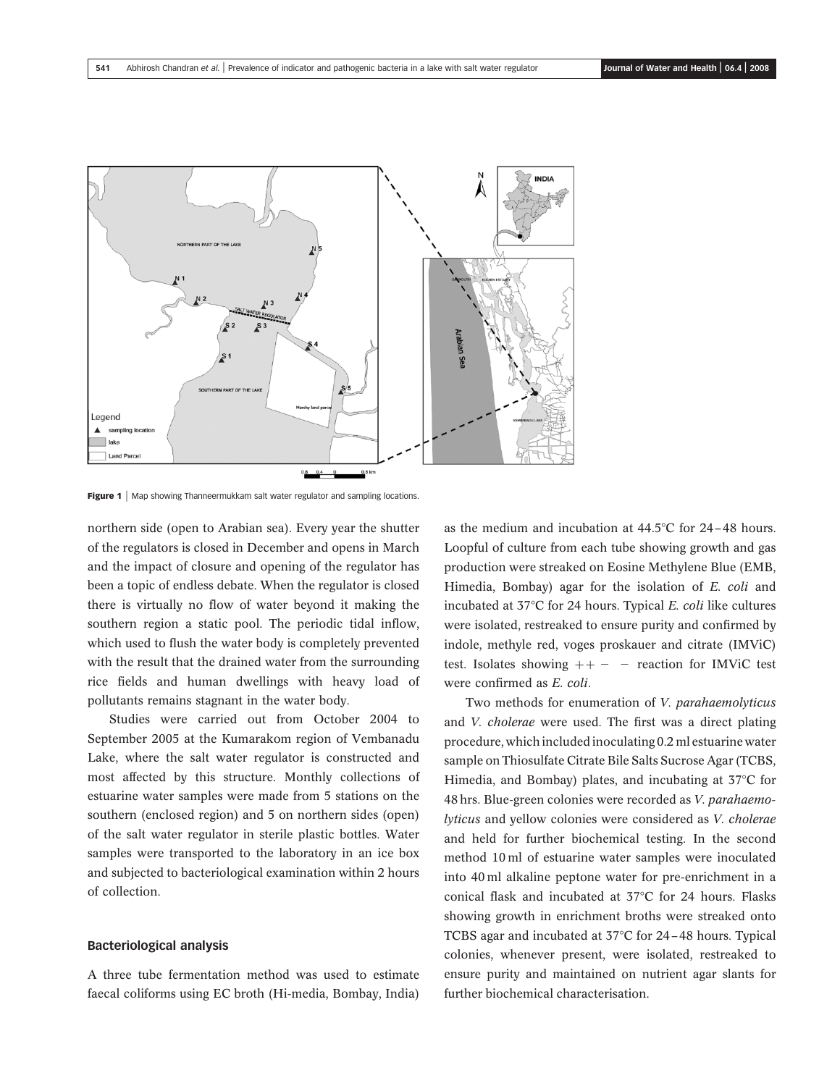<span id="page-2-0"></span>

Figure 1 | Map showing Thanneermukkam salt water regulator and sampling locations.

northern side (open to Arabian sea). Every year the shutter of the regulators is closed in December and opens in March and the impact of closure and opening of the regulator has been a topic of endless debate. When the regulator is closed there is virtually no flow of water beyond it making the southern region a static pool. The periodic tidal inflow, which used to flush the water body is completely prevented with the result that the drained water from the surrounding rice fields and human dwellings with heavy load of pollutants remains stagnant in the water body.

Studies were carried out from October 2004 to September 2005 at the Kumarakom region of Vembanadu Lake, where the salt water regulator is constructed and most affected by this structure. Monthly collections of estuarine water samples were made from 5 stations on the southern (enclosed region) and 5 on northern sides (open) of the salt water regulator in sterile plastic bottles. Water samples were transported to the laboratory in an ice box and subjected to bacteriological examination within 2 hours of collection.

#### Bacteriological analysis

A three tube fermentation method was used to estimate faecal coliforms using EC broth (Hi-media, Bombay, India) as the medium and incubation at  $44.5^{\circ}$ C for  $24-48$  hours. Loopful of culture from each tube showing growth and gas production were streaked on Eosine Methylene Blue (EMB, Himedia, Bombay) agar for the isolation of E. coli and incubated at  $37^{\circ}$ C for 24 hours. Typical E. coli like cultures were isolated, restreaked to ensure purity and confirmed by indole, methyle red, voges proskauer and citrate (IMViC) test. Isolates showing  $++ -$  reaction for IMViC test were confirmed as E. coli.

Two methods for enumeration of V. parahaemolyticus and V. cholerae were used. The first was a direct plating procedure, which included inoculating 0.2 ml estuarine water sample on Thiosulfate Citrate Bile Salts Sucrose Agar (TCBS, Himedia, and Bombay) plates, and incubating at  $37^{\circ}$ C for 48 hrs. Blue-green colonies were recorded as V. parahaemolyticus and yellow colonies were considered as V. cholerae and held for further biochemical testing. In the second method 10 ml of estuarine water samples were inoculated into 40 ml alkaline peptone water for pre-enrichment in a conical flask and incubated at  $37^{\circ}$ C for 24 hours. Flasks showing growth in enrichment broths were streaked onto TCBS agar and incubated at  $37^{\circ}$ C for 24-48 hours. Typical colonies, whenever present, were isolated, restreaked to ensure purity and maintained on nutrient agar slants for further biochemical characterisation.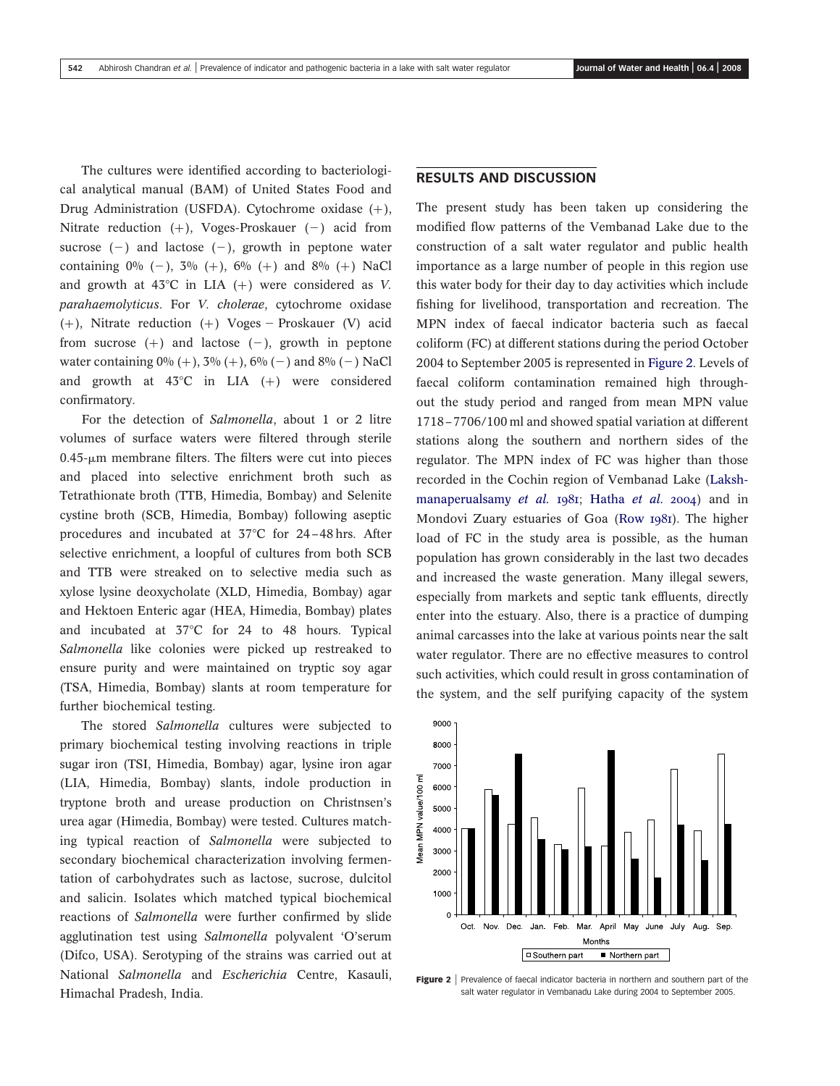The cultures were identified according to bacteriological analytical manual (BAM) of United States Food and Drug Administration (USFDA). Cytochrome oxidase  $(+)$ , Nitrate reduction  $(+)$ , Voges-Proskauer  $(-)$  acid from sucrose  $(-)$  and lactose  $(-)$ , growth in peptone water containing  $0\%$  (-),  $3\%$  (+),  $6\%$  (+) and  $8\%$  (+) NaCl and growth at  $43^{\circ}$ C in LIA (+) were considered as V. parahaemolyticus. For V. cholerae, cytochrome oxidase (+), Nitrate reduction (+) Voges - Proskauer (V) acid from sucrose  $(+)$  and lactose  $(-)$ , growth in peptone water containing  $0\% (+)$ ,  $3\% (+)$ ,  $6\% (-)$  and  $8\% (-)$  NaCl and growth at  $43^{\circ}$ C in LIA (+) were considered confirmatory.

For the detection of Salmonella, about 1 or 2 litre volumes of surface waters were filtered through sterile 0.45-*m*m membrane filters. The filters were cut into pieces and placed into selective enrichment broth such as Tetrathionate broth (TTB, Himedia, Bombay) and Selenite cystine broth (SCB, Himedia, Bombay) following aseptic procedures and incubated at  $37^{\circ}$ C for 24-48 hrs. After selective enrichment, a loopful of cultures from both SCB and TTB were streaked on to selective media such as xylose lysine deoxycholate (XLD, Himedia, Bombay) agar and Hektoen Enteric agar (HEA, Himedia, Bombay) plates and incubated at  $37^{\circ}$ C for 24 to 48 hours. Typical Salmonella like colonies were picked up restreaked to ensure purity and were maintained on tryptic soy agar (TSA, Himedia, Bombay) slants at room temperature for further biochemical testing.

The stored Salmonella cultures were subjected to primary biochemical testing involving reactions in triple sugar iron (TSI, Himedia, Bombay) agar, lysine iron agar (LIA, Himedia, Bombay) slants, indole production in tryptone broth and urease production on Christnsen's urea agar (Himedia, Bombay) were tested. Cultures matching typical reaction of Salmonella were subjected to secondary biochemical characterization involving fermentation of carbohydrates such as lactose, sucrose, dulcitol and salicin. Isolates which matched typical biochemical reactions of Salmonella were further confirmed by slide agglutination test using Salmonella polyvalent 'O'serum (Difco, USA). Serotyping of the strains was carried out at National Salmonella and Escherichia Centre, Kasauli, Himachal Pradesh, India.

# RESULTS AND DISCUSSION

The present study has been taken up considering the modified flow patterns of the Vembanad Lake due to the construction of a salt water regulator and public health importance as a large number of people in this region use this water body for their day to day activities which include fishing for livelihood, transportation and recreation. The MPN index of faecal indicator bacteria such as faecal coliform (FC) at different stations during the period October 2004 to September 2005 is represented in Figure 2. Levels of faecal coliform contamination remained high throughout the study period and ranged from mean MPN value 1718–7706/100 ml and showed spatial variation at different stations along the southern and northern sides of the regulator. The MPN index of FC was higher than those recorded in the Cochin region of Vembanad Lake ([Laksh](#page-6-0)[manaperualsamy](#page-6-0) et al. 1981; [Hatha](#page-6-0) et al. 2004) and in Mondovi Zuary estuaries of Goa ([Row 1981](#page-7-0)). The higher load of FC in the study area is possible, as the human population has grown considerably in the last two decades and increased the waste generation. Many illegal sewers, especially from markets and septic tank effluents, directly enter into the estuary. Also, there is a practice of dumping animal carcasses into the lake at various points near the salt water regulator. There are no effective measures to control such activities, which could result in gross contamination of the system, and the self purifying capacity of the system



Figure 2 | Prevalence of faecal indicator bacteria in northern and southern part of the salt water regulator in Vembanadu Lake during 2004 to September 2005.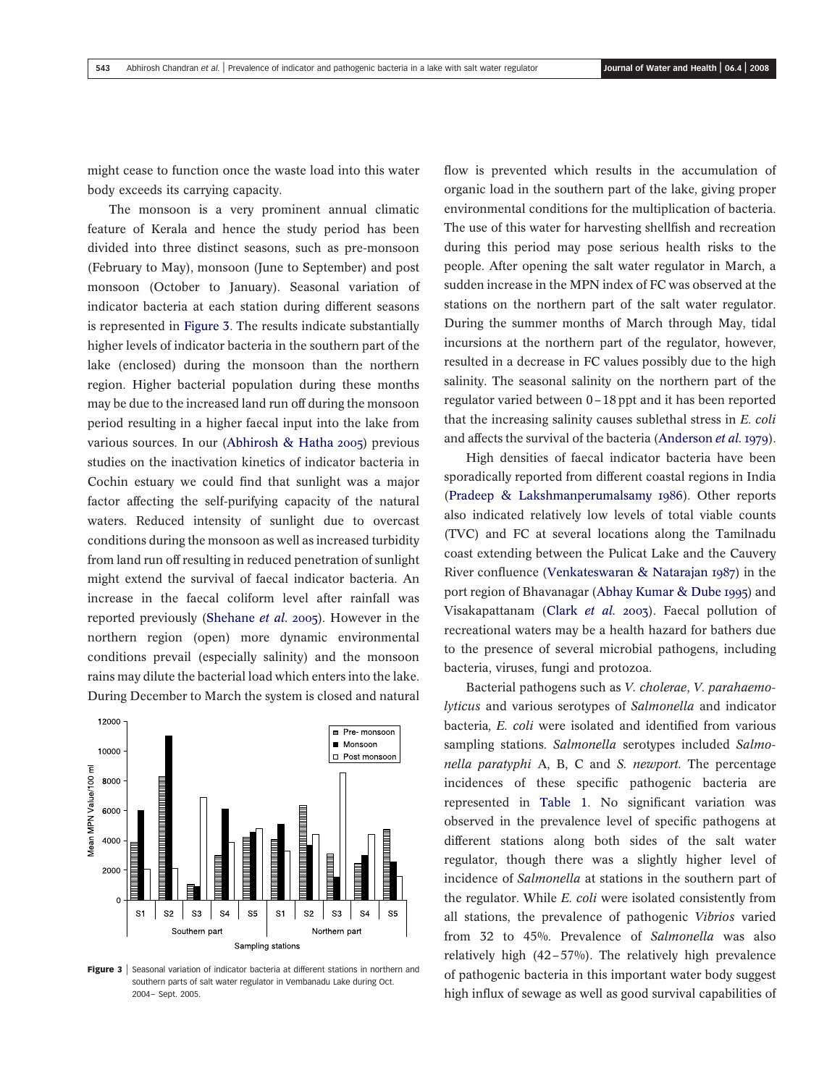might cease to function once the waste load into this water body exceeds its carrying capacity.

The monsoon is a very prominent annual climatic feature of Kerala and hence the study period has been divided into three distinct seasons, such as pre-monsoon (February to May), monsoon (June to September) and post monsoon (October to January). Seasonal variation of indicator bacteria at each station during different seasons is represented in Figure 3. The results indicate substantially higher levels of indicator bacteria in the southern part of the lake (enclosed) during the monsoon than the northern region. Higher bacterial population during these months may be due to the increased land run off during the monsoon period resulting in a higher faecal input into the lake from various sources. In our ([Abhirosh & Hatha 2005](#page-6-0)) previous studies on the inactivation kinetics of indicator bacteria in Cochin estuary we could find that sunlight was a major factor affecting the self-purifying capacity of the natural waters. Reduced intensity of sunlight due to overcast conditions during the monsoon as well as increased turbidity from land run off resulting in reduced penetration of sunlight might extend the survival of faecal indicator bacteria. An increase in the faecal coliform level after rainfall was reported previously ([Shehane](#page-7-0) et al. 2005). However in the northern region (open) more dynamic environmental conditions prevail (especially salinity) and the monsoon rains may dilute the bacterial load which enters into the lake. During December to March the system is closed and natural



Figure 3 | Seasonal variation of indicator bacteria at different stations in northern and southern parts of salt water regulator in Vembanadu Lake during Oct. 2004– Sept. 2005.

flow is prevented which results in the accumulation of organic load in the southern part of the lake, giving proper environmental conditions for the multiplication of bacteria. The use of this water for harvesting shellfish and recreation during this period may pose serious health risks to the people. After opening the salt water regulator in March, a sudden increase in the MPN index of FC was observed at the stations on the northern part of the salt water regulator. During the summer months of March through May, tidal incursions at the northern part of the regulator, however, resulted in a decrease in FC values possibly due to the high salinity. The seasonal salinity on the northern part of the regulator varied between 0–18 ppt and it has been reported that the increasing salinity causes sublethal stress in E. coli and affects the survival of the bacteria ([Anderson](#page-6-0) et al. 1979).

High densities of faecal indicator bacteria have been sporadically reported from different coastal regions in India ([Pradeep & Lakshmanperumalsamy 1986](#page-7-0)). Other reports also indicated relatively low levels of total viable counts (TVC) and FC at several locations along the Tamilnadu coast extending between the Pulicat Lake and the Cauvery River confluence ([Venkateswaran & Natarajan 1987](#page-7-0)) in the port region of Bhavanagar ([Abhay Kumar & Dube 1995](#page-6-0)) and Visakapattanam (Clark [et al.](#page-6-0) 2003). Faecal pollution of recreational waters may be a health hazard for bathers due to the presence of several microbial pathogens, including bacteria, viruses, fungi and protozoa.

Bacterial pathogens such as V. cholerae, V. parahaemolyticus and various serotypes of Salmonella and indicator bacteria, E. coli were isolated and identified from various sampling stations. Salmonella serotypes included Salmonella paratyphi A, B, C and S. newport. The percentage incidences of these specific pathogenic bacteria are represented in [Table 1](#page-5-0). No significant variation was observed in the prevalence level of specific pathogens at different stations along both sides of the salt water regulator, though there was a slightly higher level of incidence of Salmonella at stations in the southern part of the regulator. While E. coli were isolated consistently from all stations, the prevalence of pathogenic Vibrios varied from 32 to 45%. Prevalence of Salmonella was also relatively high (42–57%). The relatively high prevalence of pathogenic bacteria in this important water body suggest high influx of sewage as well as good survival capabilities of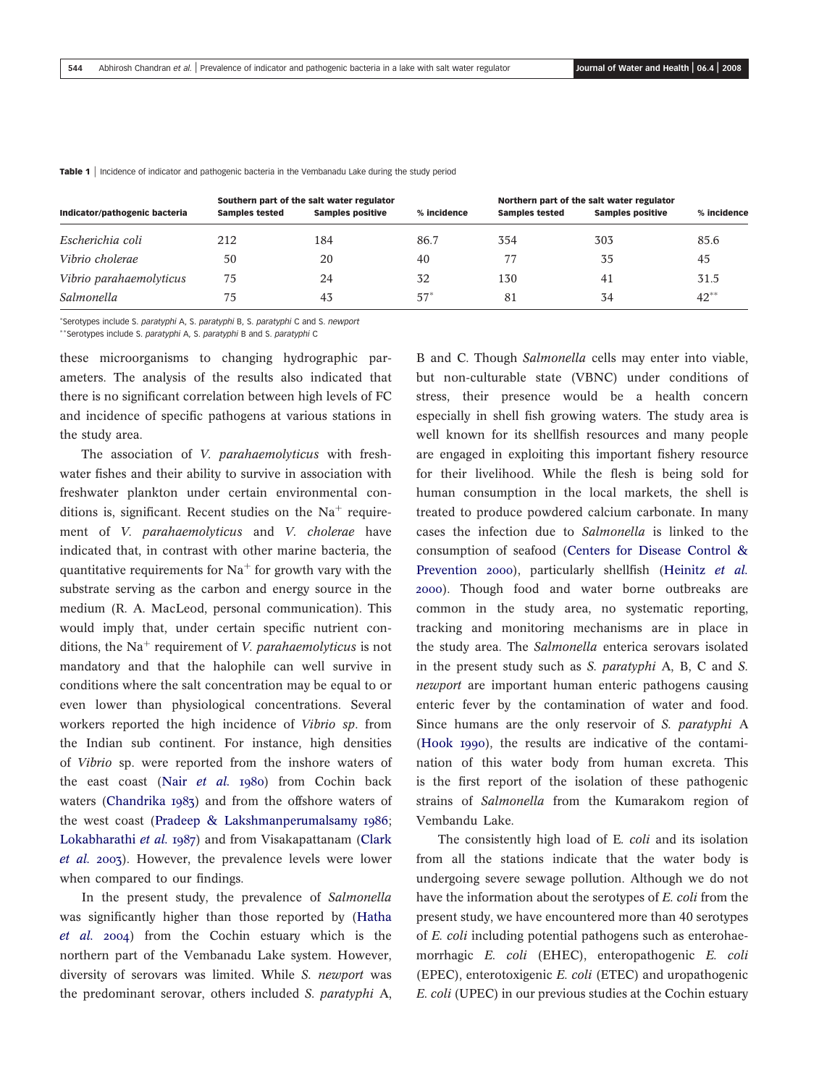| Indicator/pathogenic bacteria | <b>Samples tested</b> | Southern part of the salt water regulator<br><b>Samples positive</b> | % incidence | <b>Samples tested</b> | Northern part of the salt water regulator<br><b>Samples positive</b> | % incidence |
|-------------------------------|-----------------------|----------------------------------------------------------------------|-------------|-----------------------|----------------------------------------------------------------------|-------------|
| Escherichia coli              | 212                   | 184                                                                  | 86.7        | 354                   | 303                                                                  | 85.6        |
| Vibrio cholerae               | 50                    | 20                                                                   | 40          |                       | 35                                                                   | 45          |
| Vibrio parahaemolyticus       | 75                    | 24                                                                   | 32          | 130                   | 41                                                                   | 31.5        |
| Salmonella                    | 75                    | 43                                                                   | $57*$       | 81                    | 34                                                                   | $42^{**}$   |

<span id="page-5-0"></span>Table 1 | Incidence of indicator and pathogenic bacteria in the Vembanadu Lake during the study period

\*Serotypes include S. paratyphi A, S. paratyphi B, S. paratyphi C and S. newport

\*\* Serotypes include S. paratyphi A, S. paratyphi B and S. paratyphi C

these microorganisms to changing hydrographic parameters. The analysis of the results also indicated that there is no significant correlation between high levels of FC and incidence of specific pathogens at various stations in the study area.

The association of V. parahaemolyticus with freshwater fishes and their ability to survive in association with freshwater plankton under certain environmental conditions is, significant. Recent studies on the  $Na<sup>+</sup>$  requirement of V. parahaemolyticus and V. cholerae have indicated that, in contrast with other marine bacteria, the quantitative requirements for  $Na<sup>+</sup>$  for growth vary with the substrate serving as the carbon and energy source in the medium (R. A. MacLeod, personal communication). This would imply that, under certain specific nutrient conditions, the Na<sup>+</sup> requirement of *V. parahaemolyticus* is not mandatory and that the halophile can well survive in conditions where the salt concentration may be equal to or even lower than physiological concentrations. Several workers reported the high incidence of Vibrio sp. from the Indian sub continent. For instance, high densities of Vibrio sp. were reported from the inshore waters of the east coast (Nair [et al.](#page-6-0) 1980) from Cochin back waters ([Chandrika 1983](#page-6-0)) and from the offshore waters of the west coast ([Pradeep & Lakshmanperumalsamy 1986](#page-7-0); [Lokabharathi](#page-6-0) et al. 1987) and from Visakapattanam ([Clark](#page-6-0) [et al.](#page-6-0) 2003). However, the prevalence levels were lower when compared to our findings.

In the present study, the prevalence of Salmonella was significantly higher than those reported by ([Hatha](#page-6-0) [et al.](#page-6-0) 2004) from the Cochin estuary which is the northern part of the Vembanadu Lake system. However, diversity of serovars was limited. While S. newport was the predominant serovar, others included S. paratyphi A,

B and C. Though *Salmonella* cells may enter into viable, but non-culturable state (VBNC) under conditions of stress, their presence would be a health concern especially in shell fish growing waters. The study area is well known for its shellfish resources and many people are engaged in exploiting this important fishery resource for their livelihood. While the flesh is being sold for human consumption in the local markets, the shell is treated to produce powdered calcium carbonate. In many cases the infection due to Salmonella is linked to the consumption of seafood ([Centers for Disease Control &](#page-6-0) [Prevention 2000](#page-6-0)), particularly shellfish ([Heinitz](#page-6-0) et al. [2000](#page-6-0)). Though food and water borne outbreaks are common in the study area, no systematic reporting, tracking and monitoring mechanisms are in place in the study area. The Salmonella enterica serovars isolated in the present study such as S. paratyphi A, B, C and S. newport are important human enteric pathogens causing enteric fever by the contamination of water and food. Since humans are the only reservoir of S. paratyphi A ([Hook 1990](#page-6-0)), the results are indicative of the contamination of this water body from human excreta. This is the first report of the isolation of these pathogenic strains of Salmonella from the Kumarakom region of Vembandu Lake.

The consistently high load of E. coli and its isolation from all the stations indicate that the water body is undergoing severe sewage pollution. Although we do not have the information about the serotypes of E. coli from the present study, we have encountered more than 40 serotypes of E. coli including potential pathogens such as enterohaemorrhagic E. coli (EHEC), enteropathogenic E. coli (EPEC), enterotoxigenic E. coli (ETEC) and uropathogenic E. coli (UPEC) in our previous studies at the Cochin estuary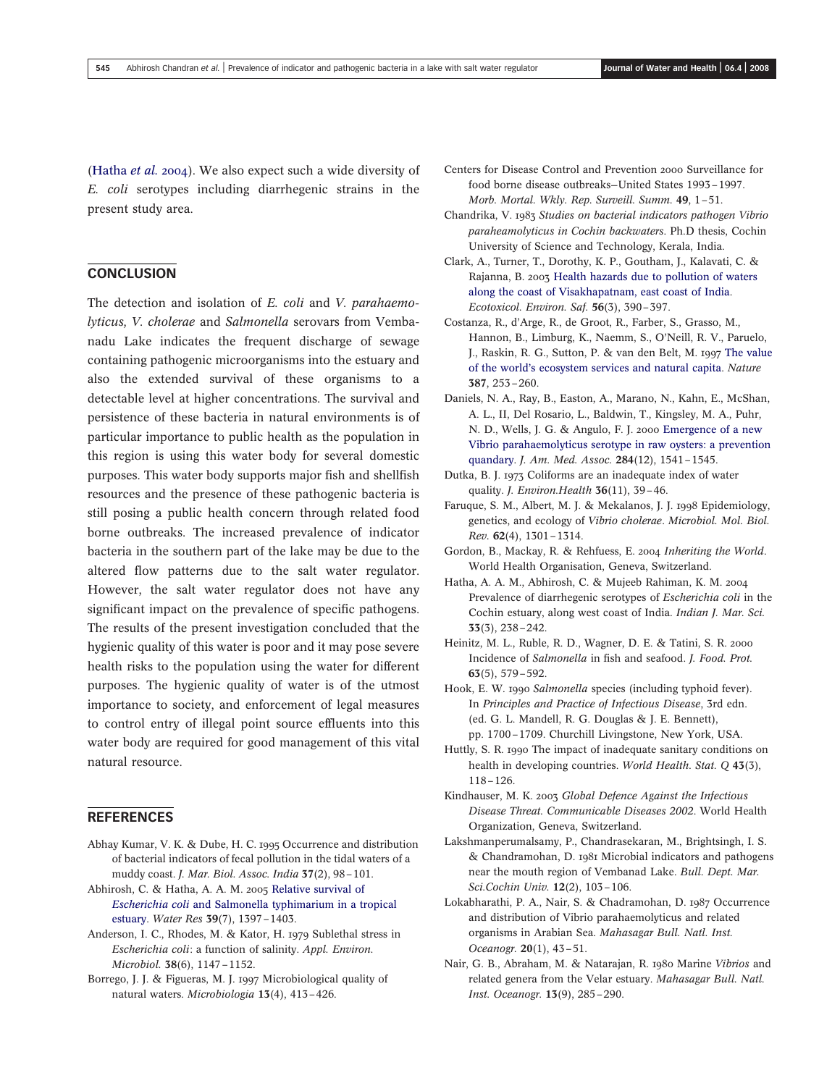<span id="page-6-0"></span>(Hatha et al. 2004). We also expect such a wide diversity of E. coli serotypes including diarrhegenic strains in the present study area.

# **CONCLUSION**

The detection and isolation of E. coli and V. parahaemolyticus, V. cholerae and Salmonella serovars from Vembanadu Lake indicates the frequent discharge of sewage containing pathogenic microorganisms into the estuary and also the extended survival of these organisms to a detectable level at higher concentrations. The survival and persistence of these bacteria in natural environments is of particular importance to public health as the population in this region is using this water body for several domestic purposes. This water body supports major fish and shellfish resources and the presence of these pathogenic bacteria is still posing a public health concern through related food borne outbreaks. The increased prevalence of indicator bacteria in the southern part of the lake may be due to the altered flow patterns due to the salt water regulator. However, the salt water regulator does not have any significant impact on the prevalence of specific pathogens. The results of the present investigation concluded that the hygienic quality of this water is poor and it may pose severe health risks to the population using the water for different purposes. The hygienic quality of water is of the utmost importance to society, and enforcement of legal measures to control entry of illegal point source effluents into this water body are required for good management of this vital natural resource.

# REFERENCES

- Abhay Kumar, V. K. & Dube, H. C. 1995 Occurrence and distribution of bacterial indicators of fecal pollution in the tidal waters of a muddy coast. J. Mar. Biol. Assoc. India 37(2), 98–101.
- Abhirosh, C. & Hatha, A. A. M. 2005 [Relative survival of](http://dx.doi.org/10.1016/j.watres.2005.01.010) Escherichia coli [and Salmonella typhimarium in a tropical](http://dx.doi.org/10.1016/j.watres.2005.01.010) [estuary.](http://dx.doi.org/10.1016/j.watres.2005.01.010) Water Res 39(7), 1397–1403.
- Anderson, I. C., Rhodes, M. & Kator, H. 1979 Sublethal stress in Escherichia coli: a function of salinity. Appl. Environ. Microbiol. 38(6), 1147–1152.
- Borrego, J. J. & Figueras, M. J. 1997 Microbiological quality of natural waters. Microbiologia 13(4), 413-426.
- Centers for Disease Control and Prevention 2000 Surveillance for food borne disease outbreaks—United States 1993–1997. Morb. Mortal. Wkly. Rep. Surveill. Summ. 49, 1–51.
- Chandrika, V. 1983 Studies on bacterial indicators pathogen Vibrio paraheamolyticus in Cochin backwaters. Ph.D thesis, Cochin University of Science and Technology, Kerala, India.
- Clark, A., Turner, T., Dorothy, K. P., Goutham, J., Kalavati, C. & Rajanna, B. 2003 [Health hazards due to pollution of waters](http://dx.doi.org/10.1016/S0147-6513(03)00098-8) [along the coast of Visakhapatnam, east coast of India](http://dx.doi.org/10.1016/S0147-6513(03)00098-8). Ecotoxicol. Environ. Saf. 56(3), 390–397.
- Costanza, R., d'Arge, R., de Groot, R., Farber, S., Grasso, M., Hannon, B., Limburg, K., Naemm, S., O'Neill, R. V., Paruelo, J., Raskin, R. G., Sutton, P. & van den Belt, M. 1997 [The value](http://dx.doi.org/10.1038/387253a0) [of the world's ecosystem services and natural capita](http://dx.doi.org/10.1038/387253a0). Nature 387, 253–260.
- Daniels, N. A., Ray, B., Easton, A., Marano, N., Kahn, E., McShan, A. L., II, Del Rosario, L., Baldwin, T., Kingsley, M. A., Puhr, N. D., Wells, J. G. & Angulo, F. J. 2000 [Emergence of a new](http://dx.doi.org/10.1001/jama.284.12.1541) [Vibrio parahaemolyticus serotype in raw oysters: a prevention](http://dx.doi.org/10.1001/jama.284.12.1541) [quandary.](http://dx.doi.org/10.1001/jama.284.12.1541) J. Am. Med. Assoc. 284(12), 1541–1545.
- Dutka, B. J. 1973 Coliforms are an inadequate index of water quality. J. Environ.Health 36(11), 39–46.
- Faruque, S. M., Albert, M. J. & Mekalanos, J. J. 1998 Epidemiology, genetics, and ecology of Vibrio cholerae. Microbiol. Mol. Biol. Rev. 62(4), 1301–1314.
- Gordon, B., Mackay, R. & Rehfuess, E. 2004 Inheriting the World. World Health Organisation, Geneva, Switzerland.
- Hatha, A. A. M., Abhirosh, C. & Mujeeb Rahiman, K. M. 2004 Prevalence of diarrhegenic serotypes of Escherichia coli in the Cochin estuary, along west coast of India. Indian J. Mar. Sci. 33(3), 238–242.
- Heinitz, M. L., Ruble, R. D., Wagner, D. E. & Tatini, S. R. 2000 Incidence of Salmonella in fish and seafood. J. Food. Prot. 63(5), 579–592.
- Hook, E. W. 1990 Salmonella species (including typhoid fever). In Principles and Practice of Infectious Disease, 3rd edn. (ed. G. L. Mandell, R. G. Douglas & J. E. Bennett), pp. 1700–1709. Churchill Livingstone, New York, USA.
- Huttly, S. R. 1990 The impact of inadequate sanitary conditions on health in developing countries. World Health. Stat. Q 43(3), 118–126.
- Kindhauser, M. K. 2003 Global Defence Against the Infectious Disease Threat. Communicable Diseases 2002. World Health Organization, Geneva, Switzerland.
- Lakshmanperumalsamy, P., Chandrasekaran, M., Brightsingh, I. S. & Chandramohan, D. 1981 Microbial indicators and pathogens near the mouth region of Vembanad Lake. Bull. Dept. Mar. Sci.Cochin Univ. 12(2), 103–106.
- Lokabharathi, P. A., Nair, S. & Chadramohan, D. 1987 Occurrence and distribution of Vibrio parahaemolyticus and related organisms in Arabian Sea. Mahasagar Bull. Natl. Inst. Oceanogr. 20(1), 43–51.
- Nair, G. B., Abraham, M. & Natarajan, R. 1980 Marine Vibrios and related genera from the Velar estuary. Mahasagar Bull. Natl. Inst. Oceanogr. 13(9), 285–290.